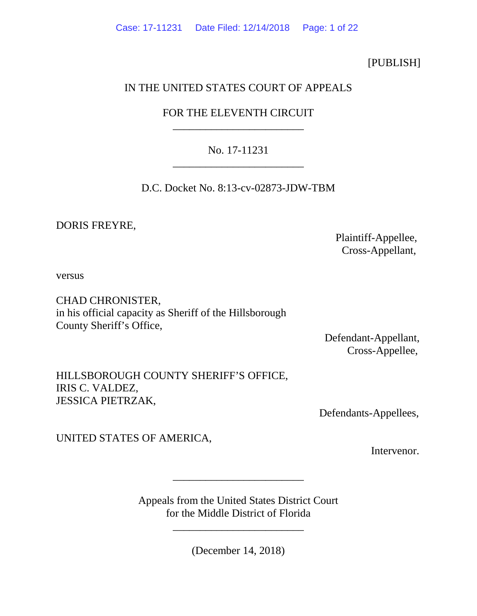## [PUBLISH]

## IN THE UNITED STATES COURT OF APPEALS

# FOR THE ELEVENTH CIRCUIT \_\_\_\_\_\_\_\_\_\_\_\_\_\_\_\_\_\_\_\_\_\_\_\_

# No. 17-11231 \_\_\_\_\_\_\_\_\_\_\_\_\_\_\_\_\_\_\_\_\_\_\_\_

D.C. Docket No. 8:13-cv-02873-JDW-TBM

DORIS FREYRE,

 Plaintiff-Appellee, Cross-Appellant,

versus

CHAD CHRONISTER, in his official capacity as Sheriff of the Hillsborough County Sheriff's Office,

> Defendant-Appellant, Cross-Appellee,

HILLSBOROUGH COUNTY SHERIFF'S OFFICE, IRIS C. VALDEZ, JESSICA PIETRZAK,

Defendants-Appellees,

UNITED STATES OF AMERICA,

Intervenor.

Appeals from the United States District Court for the Middle District of Florida

\_\_\_\_\_\_\_\_\_\_\_\_\_\_\_\_\_\_\_\_\_\_\_\_

\_\_\_\_\_\_\_\_\_\_\_\_\_\_\_\_\_\_\_\_\_\_\_\_

(December 14, 2018)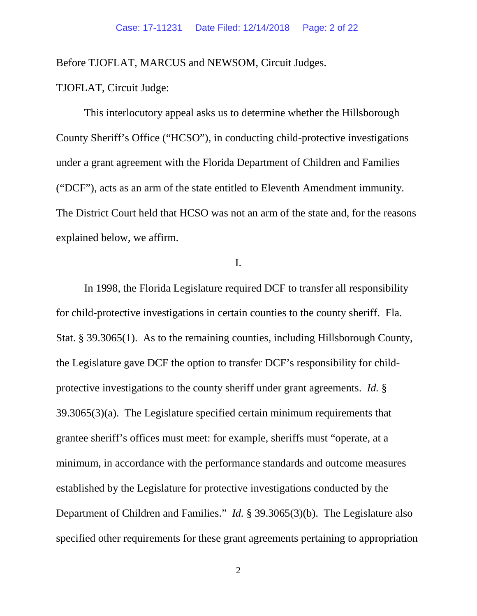Before TJOFLAT, MARCUS and NEWSOM, Circuit Judges.

TJOFLAT, Circuit Judge:

This interlocutory appeal asks us to determine whether the Hillsborough County Sheriff's Office ("HCSO"), in conducting child-protective investigations under a grant agreement with the Florida Department of Children and Families ("DCF"), acts as an arm of the state entitled to Eleventh Amendment immunity. The District Court held that HCSO was not an arm of the state and, for the reasons explained below, we affirm.

I.

In 1998, the Florida Legislature required DCF to transfer all responsibility for child-protective investigations in certain counties to the county sheriff. Fla. Stat. § 39.3065(1). As to the remaining counties, including Hillsborough County, the Legislature gave DCF the option to transfer DCF's responsibility for childprotective investigations to the county sheriff under grant agreements. *Id.* § 39.3065(3)(a). The Legislature specified certain minimum requirements that grantee sheriff's offices must meet: for example, sheriffs must "operate, at a minimum, in accordance with the performance standards and outcome measures established by the Legislature for protective investigations conducted by the Department of Children and Families." *Id.* § 39.3065(3)(b). The Legislature also specified other requirements for these grant agreements pertaining to appropriation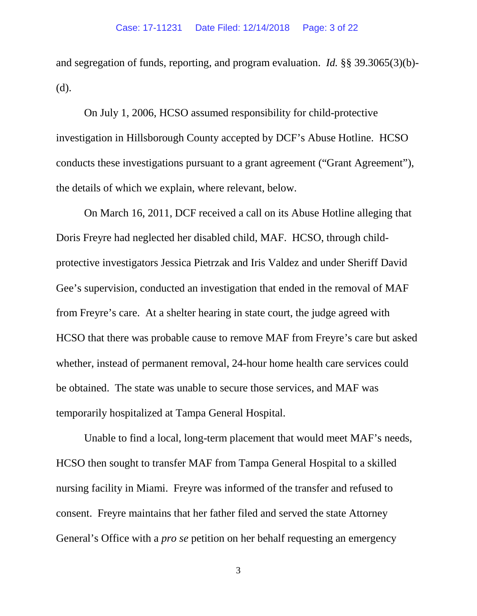and segregation of funds, reporting, and program evaluation. *Id.* §§ 39.3065(3)(b)- (d).

On July 1, 2006, HCSO assumed responsibility for child-protective investigation in Hillsborough County accepted by DCF's Abuse Hotline. HCSO conducts these investigations pursuant to a grant agreement ("Grant Agreement"), the details of which we explain, where relevant, below.

On March 16, 2011, DCF received a call on its Abuse Hotline alleging that Doris Freyre had neglected her disabled child, MAF. HCSO, through childprotective investigators Jessica Pietrzak and Iris Valdez and under Sheriff David Gee's supervision, conducted an investigation that ended in the removal of MAF from Freyre's care. At a shelter hearing in state court, the judge agreed with HCSO that there was probable cause to remove MAF from Freyre's care but asked whether, instead of permanent removal, 24-hour home health care services could be obtained. The state was unable to secure those services, and MAF was temporarily hospitalized at Tampa General Hospital.

Unable to find a local, long-term placement that would meet MAF's needs, HCSO then sought to transfer MAF from Tampa General Hospital to a skilled nursing facility in Miami. Freyre was informed of the transfer and refused to consent. Freyre maintains that her father filed and served the state Attorney General's Office with a *pro se* petition on her behalf requesting an emergency

3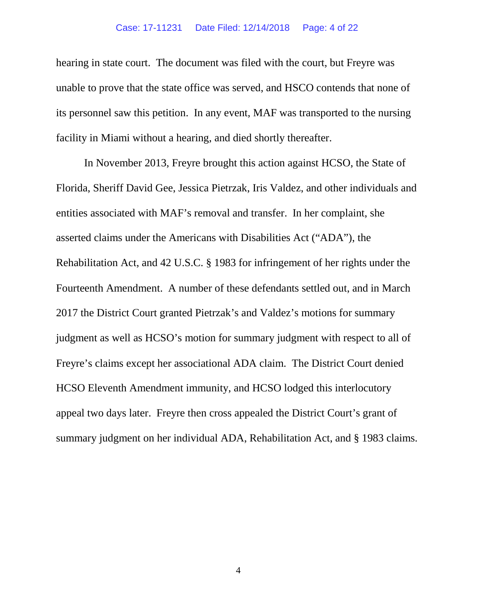#### Case: 17-11231 Date Filed: 12/14/2018 Page: 4 of 22

hearing in state court. The document was filed with the court, but Freyre was unable to prove that the state office was served, and HSCO contends that none of its personnel saw this petition. In any event, MAF was transported to the nursing facility in Miami without a hearing, and died shortly thereafter.

In November 2013, Freyre brought this action against HCSO, the State of Florida, Sheriff David Gee, Jessica Pietrzak, Iris Valdez, and other individuals and entities associated with MAF's removal and transfer. In her complaint, she asserted claims under the Americans with Disabilities Act ("ADA"), the Rehabilitation Act, and 42 U.S.C. § 1983 for infringement of her rights under the Fourteenth Amendment. A number of these defendants settled out, and in March 2017 the District Court granted Pietrzak's and Valdez's motions for summary judgment as well as HCSO's motion for summary judgment with respect to all of Freyre's claims except her associational ADA claim. The District Court denied HCSO Eleventh Amendment immunity, and HCSO lodged this interlocutory appeal two days later. Freyre then cross appealed the District Court's grant of summary judgment on her individual ADA, Rehabilitation Act, and § 1983 claims.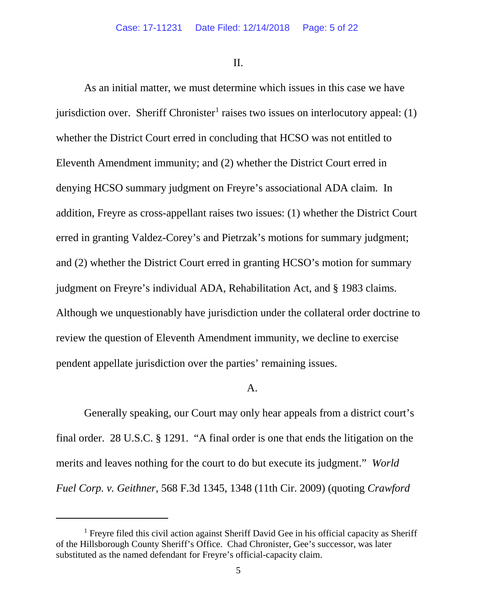II.

As an initial matter, we must determine which issues in this case we have jurisdiction over. Sheriff Chronister<sup>[1](#page-4-0)</sup> raises two issues on interlocutory appeal: (1) whether the District Court erred in concluding that HCSO was not entitled to Eleventh Amendment immunity; and (2) whether the District Court erred in denying HCSO summary judgment on Freyre's associational ADA claim. In addition, Freyre as cross-appellant raises two issues: (1) whether the District Court erred in granting Valdez-Corey's and Pietrzak's motions for summary judgment; and (2) whether the District Court erred in granting HCSO's motion for summary judgment on Freyre's individual ADA, Rehabilitation Act, and § 1983 claims. Although we unquestionably have jurisdiction under the collateral order doctrine to review the question of Eleventh Amendment immunity, we decline to exercise pendent appellate jurisdiction over the parties' remaining issues.

### A.

Generally speaking, our Court may only hear appeals from a district court's final order. 28 U.S.C. § 1291. "A final order is one that ends the litigation on the merits and leaves nothing for the court to do but execute its judgment." *World Fuel Corp. v. Geithner*, 568 F.3d 1345, 1348 (11th Cir. 2009) (quoting *Crawford* 

<span id="page-4-0"></span><sup>&</sup>lt;sup>1</sup> Freyre filed this civil action against Sheriff David Gee in his official capacity as Sheriff of the Hillsborough County Sheriff's Office. Chad Chronister, Gee's successor, was later substituted as the named defendant for Freyre's official-capacity claim.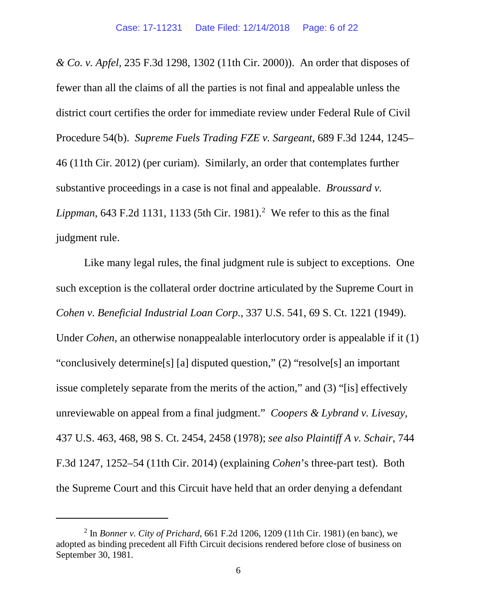*& Co. v. Apfel*, 235 F.3d 1298, 1302 (11th Cir. 2000)). An order that disposes of fewer than all the claims of all the parties is not final and appealable unless the district court certifies the order for immediate review under Federal Rule of Civil Procedure 54(b). *Supreme Fuels Trading FZE v. Sargeant*, 689 F.3d 1244, 1245– 46 (11th Cir. 2012) (per curiam). Similarly, an order that contemplates further substantive proceedings in a case is not final and appealable. *Broussard v.*  Lippman, 643 F.[2](#page-5-0)d 1131, 1133 (5th Cir. 1981).<sup>2</sup> We refer to this as the final judgment rule.

Like many legal rules, the final judgment rule is subject to exceptions. One such exception is the collateral order doctrine articulated by the Supreme Court in *Cohen v. Beneficial Industrial Loan Corp.*, 337 U.S. 541, 69 S. Ct. 1221 (1949). Under *Cohen*, an otherwise nonappealable interlocutory order is appealable if it (1) "conclusively determine[s] [a] disputed question," (2) "resolve[s] an important issue completely separate from the merits of the action," and (3) "[is] effectively unreviewable on appeal from a final judgment." *Coopers & Lybrand v. Livesay*, 437 U.S. 463, 468, 98 S. Ct. 2454, 2458 (1978); *see also Plaintiff A v. Schair*, 744 F.3d 1247, 1252–54 (11th Cir. 2014) (explaining *Cohen*'s three-part test). Both the Supreme Court and this Circuit have held that an order denying a defendant

<span id="page-5-0"></span><sup>2</sup> In *Bonner v. City of Prichard*, 661 F.2d 1206, 1209 (11th Cir. 1981) (en banc), we adopted as binding precedent all Fifth Circuit decisions rendered before close of business on September 30, 1981.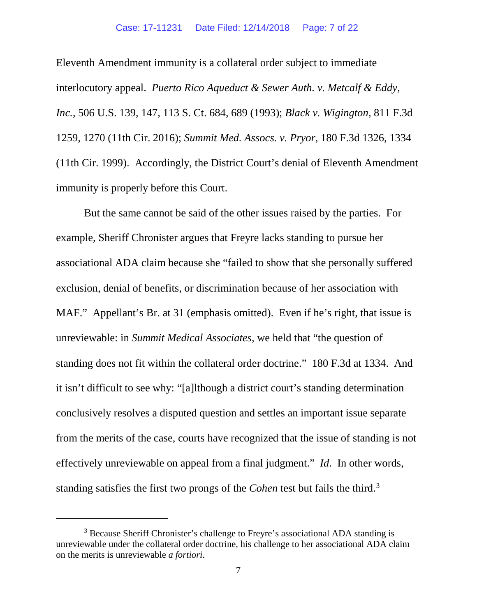#### Case: 17-11231 Date Filed: 12/14/2018 Page: 7 of 22

Eleventh Amendment immunity is a collateral order subject to immediate interlocutory appeal. *Puerto Rico Aqueduct & Sewer Auth. v. Metcalf & Eddy, Inc.*, 506 U.S. 139, 147, 113 S. Ct. 684, 689 (1993); *Black v. Wigington*, 811 F.3d 1259, 1270 (11th Cir. 2016); *Summit Med. Assocs. v. Pryor*, 180 F.3d 1326, 1334 (11th Cir. 1999). Accordingly, the District Court's denial of Eleventh Amendment immunity is properly before this Court.

But the same cannot be said of the other issues raised by the parties. For example, Sheriff Chronister argues that Freyre lacks standing to pursue her associational ADA claim because she "failed to show that she personally suffered exclusion, denial of benefits, or discrimination because of her association with MAF." Appellant's Br. at 31 (emphasis omitted). Even if he's right, that issue is unreviewable: in *Summit Medical Associates*, we held that "the question of standing does not fit within the collateral order doctrine." 180 F.3d at 1334. And it isn't difficult to see why: "[a]lthough a district court's standing determination conclusively resolves a disputed question and settles an important issue separate from the merits of the case, courts have recognized that the issue of standing is not effectively unreviewable on appeal from a final judgment." *Id*. In other words, standing satisfies the first two prongs of the *Cohen* test but fails the third.[3](#page-6-0)

<span id="page-6-0"></span><sup>&</sup>lt;sup>3</sup> Because Sheriff Chronister's challenge to Freyre's associational ADA standing is unreviewable under the collateral order doctrine, his challenge to her associational ADA claim on the merits is unreviewable *a fortiori*.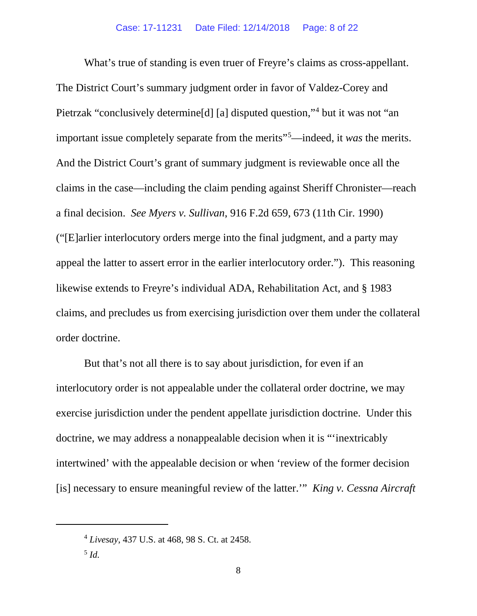What's true of standing is even truer of Freyre's claims as cross-appellant. The District Court's summary judgment order in favor of Valdez-Corey and Pietrzak "conclusively determine[d] [a] disputed question,"[4](#page-7-0) but it was not "an important issue completely separate from the merits"[5](#page-7-1) —indeed, it *was* the merits. And the District Court's grant of summary judgment is reviewable once all the claims in the case—including the claim pending against Sheriff Chronister—reach a final decision. *See Myers v. Sullivan*, 916 F.2d 659, 673 (11th Cir. 1990) ("[E]arlier interlocutory orders merge into the final judgment, and a party may appeal the latter to assert error in the earlier interlocutory order."). This reasoning likewise extends to Freyre's individual ADA, Rehabilitation Act, and § 1983 claims, and precludes us from exercising jurisdiction over them under the collateral order doctrine.

But that's not all there is to say about jurisdiction, for even if an interlocutory order is not appealable under the collateral order doctrine, we may exercise jurisdiction under the pendent appellate jurisdiction doctrine. Under this doctrine, we may address a nonappealable decision when it is "'inextricably intertwined' with the appealable decision or when 'review of the former decision [is] necessary to ensure meaningful review of the latter.'" *King v. Cessna Aircraft* 

<span id="page-7-0"></span><sup>4</sup> *Livesay*, 437 U.S. at 468, 98 S. Ct. at 2458.

<span id="page-7-1"></span><sup>5</sup> *Id.*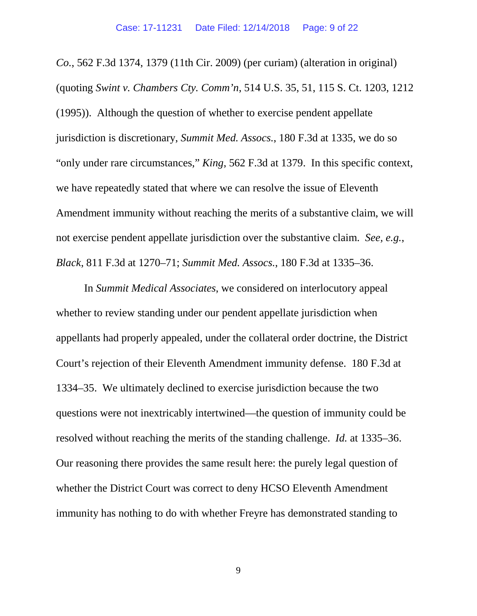*Co.*, 562 F.3d 1374, 1379 (11th Cir. 2009) (per curiam) (alteration in original) (quoting *Swint v. Chambers Cty. Comm'n*, 514 U.S. 35, 51, 115 S. Ct. 1203, 1212 (1995)). Although the question of whether to exercise pendent appellate jurisdiction is discretionary, *Summit Med. Assocs.*, 180 F.3d at 1335, we do so "only under rare circumstances," *King*, 562 F.3d at 1379. In this specific context, we have repeatedly stated that where we can resolve the issue of Eleventh Amendment immunity without reaching the merits of a substantive claim, we will not exercise pendent appellate jurisdiction over the substantive claim. *See, e.g.*, *Black*, 811 F.3d at 1270–71; *Summit Med. Assocs.*, 180 F.3d at 1335–36.

In *Summit Medical Associates*, we considered on interlocutory appeal whether to review standing under our pendent appellate jurisdiction when appellants had properly appealed, under the collateral order doctrine, the District Court's rejection of their Eleventh Amendment immunity defense. 180 F.3d at 1334–35. We ultimately declined to exercise jurisdiction because the two questions were not inextricably intertwined—the question of immunity could be resolved without reaching the merits of the standing challenge. *Id.* at 1335–36. Our reasoning there provides the same result here: the purely legal question of whether the District Court was correct to deny HCSO Eleventh Amendment immunity has nothing to do with whether Freyre has demonstrated standing to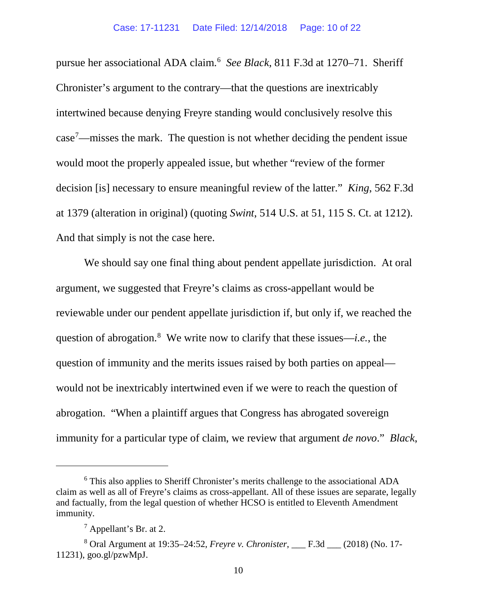pursue her associational ADA claim.[6](#page-9-0) *See Black*, 811 F.3d at 1270–71. Sheriff Chronister's argument to the contrary—that the questions are inextricably intertwined because denying Freyre standing would conclusively resolve this case[7](#page-9-1) —misses the mark. The question is not whether deciding the pendent issue would moot the properly appealed issue, but whether "review of the former decision [is] necessary to ensure meaningful review of the latter." *King*, 562 F.3d at 1379 (alteration in original) (quoting *Swint*, 514 U.S. at 51, 115 S. Ct. at 1212). And that simply is not the case here.

We should say one final thing about pendent appellate jurisdiction. At oral argument, we suggested that Freyre's claims as cross-appellant would be reviewable under our pendent appellate jurisdiction if, but only if, we reached the question of abrogation. [8](#page-9-2) We write now to clarify that these issues—*i.e.*, the question of immunity and the merits issues raised by both parties on appeal would not be inextricably intertwined even if we were to reach the question of abrogation. "When a plaintiff argues that Congress has abrogated sovereign immunity for a particular type of claim, we review that argument *de novo*." *Black*,

<span id="page-9-0"></span><sup>6</sup> This also applies to Sheriff Chronister's merits challenge to the associational ADA claim as well as all of Freyre's claims as cross-appellant. All of these issues are separate, legally and factually, from the legal question of whether HCSO is entitled to Eleventh Amendment immunity.

 $<sup>7</sup>$  Appellant's Br. at 2.</sup>

<span id="page-9-2"></span><span id="page-9-1"></span><sup>8</sup> Oral Argument at 19:35–24:52, *Freyre v. Chronister*, \_\_\_ F.3d \_\_\_ (2018) (No. 17- 11231), goo.gl/pzwMpJ.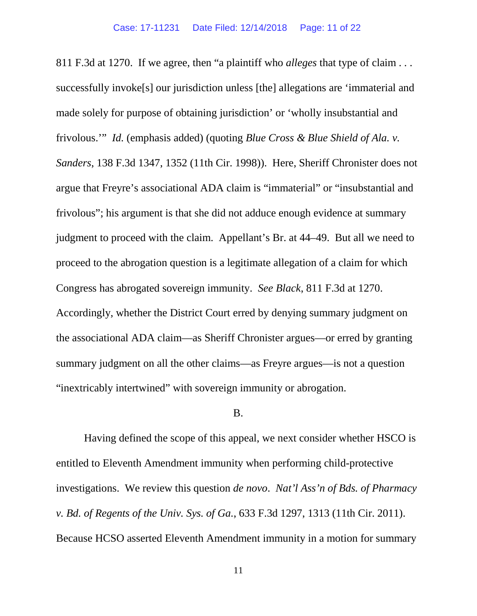811 F.3d at 1270. If we agree, then "a plaintiff who *alleges* that type of claim . . . successfully invoke[s] our jurisdiction unless [the] allegations are 'immaterial and made solely for purpose of obtaining jurisdiction' or 'wholly insubstantial and frivolous.'" *Id.* (emphasis added) (quoting *Blue Cross & Blue Shield of Ala. v. Sanders*, 138 F.3d 1347, 1352 (11th Cir. 1998)). Here, Sheriff Chronister does not argue that Freyre's associational ADA claim is "immaterial" or "insubstantial and frivolous"; his argument is that she did not adduce enough evidence at summary judgment to proceed with the claim. Appellant's Br. at 44–49. But all we need to proceed to the abrogation question is a legitimate allegation of a claim for which Congress has abrogated sovereign immunity. *See Black*, 811 F.3d at 1270. Accordingly, whether the District Court erred by denying summary judgment on the associational ADA claim—as Sheriff Chronister argues—or erred by granting summary judgment on all the other claims—as Freyre argues—is not a question "inextricably intertwined" with sovereign immunity or abrogation.

#### B.

Having defined the scope of this appeal, we next consider whether HSCO is entitled to Eleventh Amendment immunity when performing child-protective investigations. We review this question *de novo*. *Nat'l Ass'n of Bds. of Pharmacy v. Bd. of Regents of the Univ. Sys. of Ga.*, 633 F.3d 1297, 1313 (11th Cir. 2011). Because HCSO asserted Eleventh Amendment immunity in a motion for summary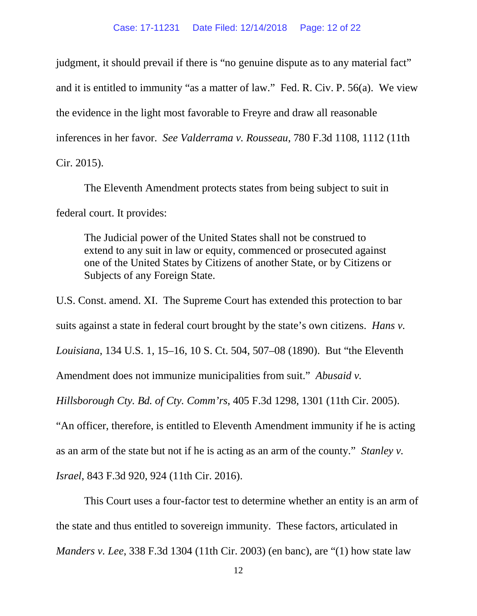judgment, it should prevail if there is "no genuine dispute as to any material fact" and it is entitled to immunity "as a matter of law." Fed. R. Civ. P. 56(a). We view the evidence in the light most favorable to Freyre and draw all reasonable inferences in her favor. *See Valderrama v. Rousseau*, 780 F.3d 1108, 1112 (11th Cir. 2015).

The Eleventh Amendment protects states from being subject to suit in federal court. It provides:

The Judicial power of the United States shall not be construed to extend to any suit in law or equity, commenced or prosecuted against one of the United States by Citizens of another State, or by Citizens or Subjects of any Foreign State.

U.S. Const. amend. XI. The Supreme Court has extended this protection to bar suits against a state in federal court brought by the state's own citizens. *Hans v. Louisiana*, 134 U.S. 1, 15–16, 10 S. Ct. 504, 507–08 (1890). But "the Eleventh Amendment does not immunize municipalities from suit." *Abusaid v. Hillsborough Cty. Bd. of Cty. Comm'rs*, 405 F.3d 1298, 1301 (11th Cir. 2005). "An officer, therefore, is entitled to Eleventh Amendment immunity if he is acting as an arm of the state but not if he is acting as an arm of the county." *Stanley v. Israel*, 843 F.3d 920, 924 (11th Cir. 2016).

This Court uses a four-factor test to determine whether an entity is an arm of the state and thus entitled to sovereign immunity. These factors, articulated in *Manders v. Lee*, 338 F.3d 1304 (11th Cir. 2003) (en banc), are "(1) how state law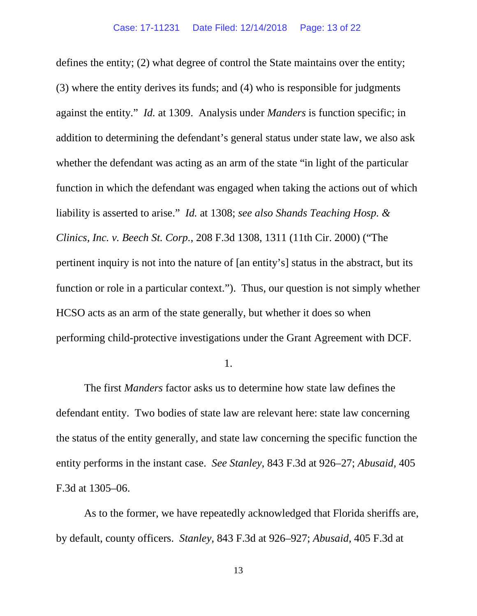defines the entity; (2) what degree of control the State maintains over the entity; (3) where the entity derives its funds; and (4) who is responsible for judgments against the entity." *Id.* at 1309. Analysis under *Manders* is function specific; in addition to determining the defendant's general status under state law, we also ask whether the defendant was acting as an arm of the state "in light of the particular function in which the defendant was engaged when taking the actions out of which liability is asserted to arise." *Id.* at 1308; *see also Shands Teaching Hosp. & Clinics, Inc. v. Beech St. Corp.*, 208 F.3d 1308, 1311 (11th Cir. 2000) ("The pertinent inquiry is not into the nature of [an entity's] status in the abstract, but its function or role in a particular context."). Thus, our question is not simply whether HCSO acts as an arm of the state generally, but whether it does so when performing child-protective investigations under the Grant Agreement with DCF.

1.

The first *Manders* factor asks us to determine how state law defines the defendant entity. Two bodies of state law are relevant here: state law concerning the status of the entity generally, and state law concerning the specific function the entity performs in the instant case. *See Stanley*, 843 F.3d at 926–27; *Abusaid*, 405 F.3d at 1305–06.

As to the former, we have repeatedly acknowledged that Florida sheriffs are, by default, county officers. *Stanley*, 843 F.3d at 926–927; *Abusaid*, 405 F.3d at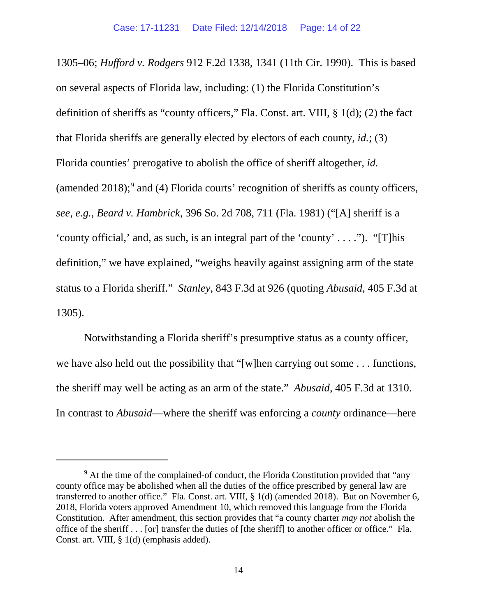<span id="page-13-1"></span>1305–06; *Hufford v. Rodgers* 912 F.2d 1338, 1341 (11th Cir. 1990). This is based on several aspects of Florida law, including: (1) the Florida Constitution's definition of sheriffs as "county officers," Fla. Const. art. VIII, § 1(d); (2) the fact that Florida sheriffs are generally elected by electors of each county, *id.*; (3) Florida counties' prerogative to abolish the office of sheriff altogether, *id.* (amended 2018); [9](#page-13-0) and (4) Florida courts' recognition of sheriffs as county officers, *see, e.g.*, *Beard v. Hambrick*, 396 So. 2d 708, 711 (Fla. 1981) ("[A] sheriff is a 'county official,' and, as such, is an integral part of the 'county' . . . ."). "[T]his definition," we have explained, "weighs heavily against assigning arm of the state status to a Florida sheriff." *Stanley*, 843 F.3d at 926 (quoting *Abusaid*, 405 F.3d at 1305).

Notwithstanding a Florida sheriff's presumptive status as a county officer, we have also held out the possibility that "[w]hen carrying out some . . . functions, the sheriff may well be acting as an arm of the state." *Abusaid*, 405 F.3d at 1310. In contrast to *Abusaid*—where the sheriff was enforcing a *county* ordinance—here

<span id="page-13-0"></span> $9<sup>9</sup>$  At the time of the complained-of conduct, the Florida Constitution provided that "any" county office may be abolished when all the duties of the office prescribed by general law are transferred to another office." Fla. Const. art. VIII, § 1(d) (amended 2018). But on November 6, 2018, Florida voters approved Amendment 10, which removed this language from the Florida Constitution. After amendment, this section provides that "a county charter *may not* abolish the office of the sheriff . . . [or] transfer the duties of [the sheriff] to another officer or office." Fla. Const. art. VIII, § 1(d) (emphasis added).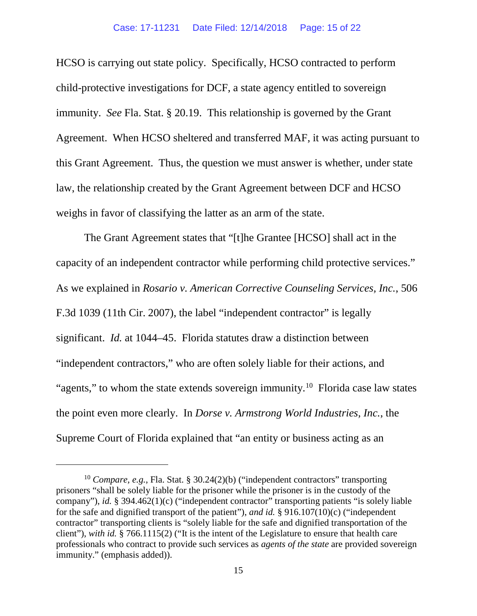HCSO is carrying out state policy. Specifically, HCSO contracted to perform child-protective investigations for DCF, a state agency entitled to sovereign immunity. *See* Fla. Stat. § 20.19. This relationship is governed by the Grant Agreement. When HCSO sheltered and transferred MAF, it was acting pursuant to this Grant Agreement. Thus, the question we must answer is whether, under state law, the relationship created by the Grant Agreement between DCF and HCSO weighs in favor of classifying the latter as an arm of the state.

The Grant Agreement states that "[t]he Grantee [HCSO] shall act in the capacity of an independent contractor while performing child protective services." As we explained in *Rosario v. American Corrective Counseling Services, Inc.*, 506 F.3d 1039 (11th Cir. 2007), the label "independent contractor" is legally significant. *Id.* at 1044–45. Florida statutes draw a distinction between "independent contractors," who are often solely liable for their actions, and "agents," to whom the state extends sovereign immunity.<sup>[10](#page-14-0)</sup> Florida case law states the point even more clearly. In *Dorse v. Armstrong World Industries, Inc.*, the Supreme Court of Florida explained that "an entity or business acting as an

<span id="page-14-0"></span><sup>&</sup>lt;sup>10</sup> *Compare, e.g.*, Fla. Stat. § 30.24(2)(b) ("independent contractors" transporting prisoners "shall be solely liable for the prisoner while the prisoner is in the custody of the company"), *id.* § 394.462(1)(c) ("independent contractor" transporting patients "is solely liable for the safe and dignified transport of the patient"), *and id.* § 916.107(10)(c) ("independent contractor" transporting clients is "solely liable for the safe and dignified transportation of the client"), *with id.* § 766.1115(2) ("It is the intent of the Legislature to ensure that health care professionals who contract to provide such services as *agents of the state* are provided sovereign immunity." (emphasis added)).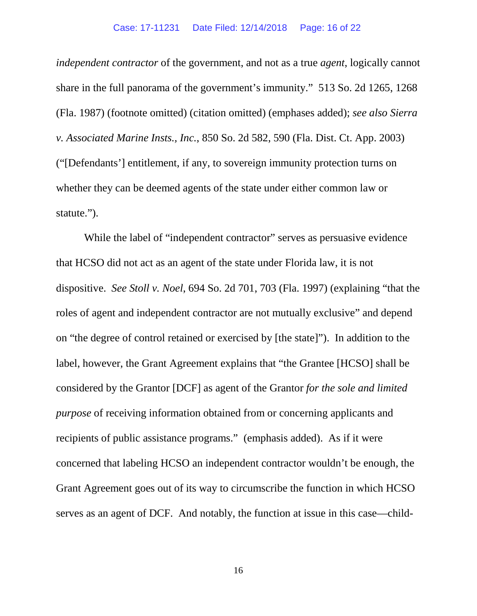*independent contractor* of the government, and not as a true *agent*, logically cannot share in the full panorama of the government's immunity." 513 So. 2d 1265, 1268 (Fla. 1987) (footnote omitted) (citation omitted) (emphases added); *see also Sierra v. Associated Marine Insts., Inc.*, 850 So. 2d 582, 590 (Fla. Dist. Ct. App. 2003) ("[Defendants'] entitlement, if any, to sovereign immunity protection turns on whether they can be deemed agents of the state under either common law or statute.").

While the label of "independent contractor" serves as persuasive evidence that HCSO did not act as an agent of the state under Florida law, it is not dispositive. *See Stoll v. Noel*, 694 So. 2d 701, 703 (Fla. 1997) (explaining "that the roles of agent and independent contractor are not mutually exclusive" and depend on "the degree of control retained or exercised by [the state]"). In addition to the label, however, the Grant Agreement explains that "the Grantee [HCSO] shall be considered by the Grantor [DCF] as agent of the Grantor *for the sole and limited purpose* of receiving information obtained from or concerning applicants and recipients of public assistance programs." (emphasis added). As if it were concerned that labeling HCSO an independent contractor wouldn't be enough, the Grant Agreement goes out of its way to circumscribe the function in which HCSO serves as an agent of DCF. And notably, the function at issue in this case—child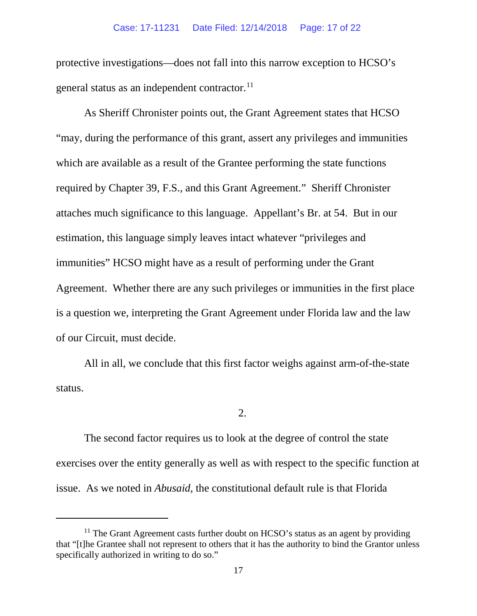protective investigations—does not fall into this narrow exception to HCSO's general status as an independent contractor.<sup>[11](#page-16-0)</sup>

As Sheriff Chronister points out, the Grant Agreement states that HCSO "may, during the performance of this grant, assert any privileges and immunities which are available as a result of the Grantee performing the state functions required by Chapter 39, F.S., and this Grant Agreement." Sheriff Chronister attaches much significance to this language. Appellant's Br. at 54. But in our estimation, this language simply leaves intact whatever "privileges and immunities" HCSO might have as a result of performing under the Grant Agreement. Whether there are any such privileges or immunities in the first place is a question we, interpreting the Grant Agreement under Florida law and the law of our Circuit, must decide.

All in all, we conclude that this first factor weighs against arm-of-the-state status.

2.

The second factor requires us to look at the degree of control the state exercises over the entity generally as well as with respect to the specific function at issue. As we noted in *Abusaid*, the constitutional default rule is that Florida

<span id="page-16-0"></span> $11$  The Grant Agreement casts further doubt on HCSO's status as an agent by providing that "[t]he Grantee shall not represent to others that it has the authority to bind the Grantor unless specifically authorized in writing to do so."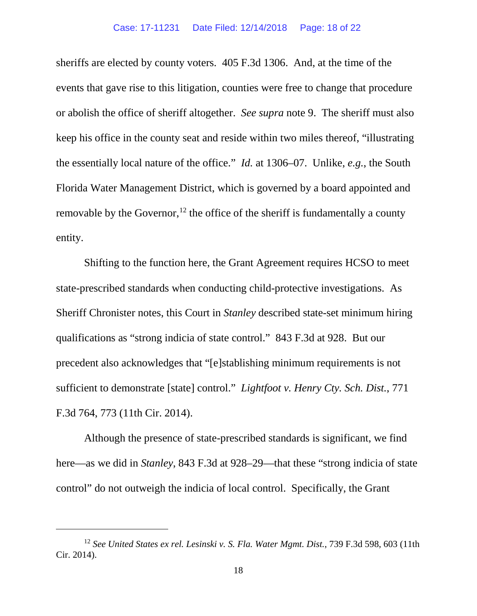sheriffs are elected by county voters. 405 F.3d 1306. And, at the time of the events that gave rise to this litigation, counties were free to change that procedure or abolish the office of sheriff altogether. *See supra* note [9.](#page-13-1) The sheriff must also keep his office in the county seat and reside within two miles thereof, "illustrating the essentially local nature of the office." *Id.* at 1306–07. Unlike, *e.g.*, the South Florida Water Management District, which is governed by a board appointed and removable by the Governor,  $12$  the office of the sheriff is fundamentally a county entity.

Shifting to the function here, the Grant Agreement requires HCSO to meet state-prescribed standards when conducting child-protective investigations. As Sheriff Chronister notes, this Court in *Stanley* described state-set minimum hiring qualifications as "strong indicia of state control." 843 F.3d at 928. But our precedent also acknowledges that "[e]stablishing minimum requirements is not sufficient to demonstrate [state] control." *Lightfoot v. Henry Cty. Sch. Dist.*, 771 F.3d 764, 773 (11th Cir. 2014).

Although the presence of state-prescribed standards is significant, we find here—as we did in *Stanley*, 843 F.3d at 928–29—that these "strong indicia of state control" do not outweigh the indicia of local control. Specifically, the Grant

<span id="page-17-0"></span><sup>12</sup> *See United States ex rel. Lesinski v. S. Fla. Water Mgmt. Dist.*, 739 F.3d 598, 603 (11th Cir. 2014).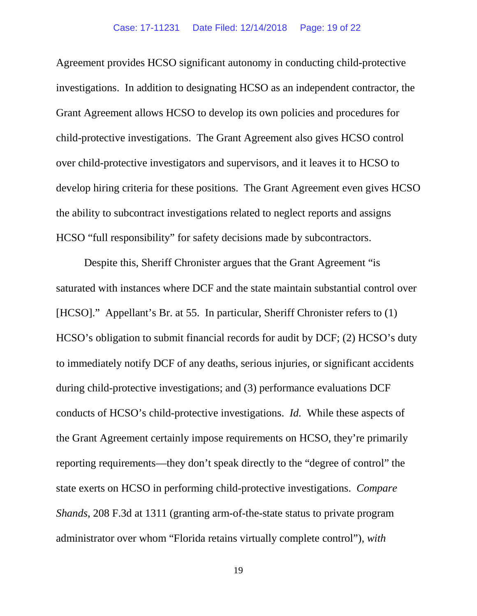Agreement provides HCSO significant autonomy in conducting child-protective investigations. In addition to designating HCSO as an independent contractor, the Grant Agreement allows HCSO to develop its own policies and procedures for child-protective investigations. The Grant Agreement also gives HCSO control over child-protective investigators and supervisors, and it leaves it to HCSO to develop hiring criteria for these positions. The Grant Agreement even gives HCSO the ability to subcontract investigations related to neglect reports and assigns HCSO "full responsibility" for safety decisions made by subcontractors.

Despite this, Sheriff Chronister argues that the Grant Agreement "is saturated with instances where DCF and the state maintain substantial control over [HCSO]." Appellant's Br. at 55. In particular, Sheriff Chronister refers to (1) HCSO's obligation to submit financial records for audit by DCF; (2) HCSO's duty to immediately notify DCF of any deaths, serious injuries, or significant accidents during child-protective investigations; and (3) performance evaluations DCF conducts of HCSO's child-protective investigations. *Id.* While these aspects of the Grant Agreement certainly impose requirements on HCSO, they're primarily reporting requirements—they don't speak directly to the "degree of control" the state exerts on HCSO in performing child-protective investigations. *Compare Shands*, 208 F.3d at 1311 (granting arm-of-the-state status to private program administrator over whom "Florida retains virtually complete control"), *with*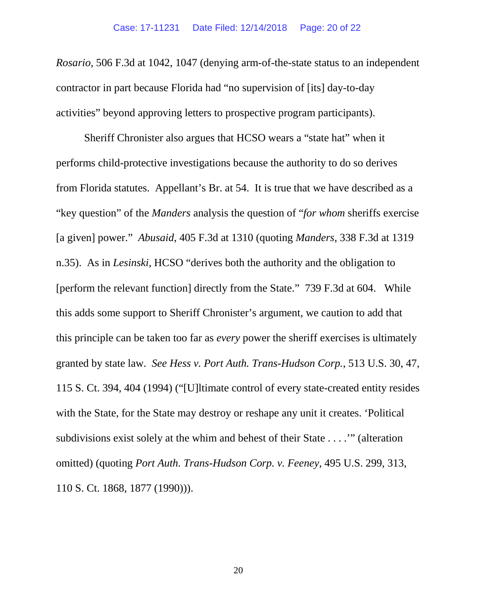*Rosario*, 506 F.3d at 1042, 1047 (denying arm-of-the-state status to an independent contractor in part because Florida had "no supervision of [its] day-to-day activities" beyond approving letters to prospective program participants).

Sheriff Chronister also argues that HCSO wears a "state hat" when it performs child-protective investigations because the authority to do so derives from Florida statutes. Appellant's Br. at 54. It is true that we have described as a "key question" of the *Manders* analysis the question of "*for whom* sheriffs exercise [a given] power." *Abusaid*, 405 F.3d at 1310 (quoting *Manders*, 338 F.3d at 1319 n.35). As in *Lesinski*, HCSO "derives both the authority and the obligation to [perform the relevant function] directly from the State." 739 F.3d at 604. While this adds some support to Sheriff Chronister's argument, we caution to add that this principle can be taken too far as *every* power the sheriff exercises is ultimately granted by state law. *See Hess v. Port Auth. Trans-Hudson Corp.*, 513 U.S. 30, 47, 115 S. Ct. 394, 404 (1994) ("[U]ltimate control of every state-created entity resides with the State, for the State may destroy or reshape any unit it creates. 'Political subdivisions exist solely at the whim and behest of their State . . . .'" (alteration omitted) (quoting *Port Auth. Trans-Hudson Corp. v. Feeney*, 495 U.S. 299, 313, 110 S. Ct. 1868, 1877 (1990))).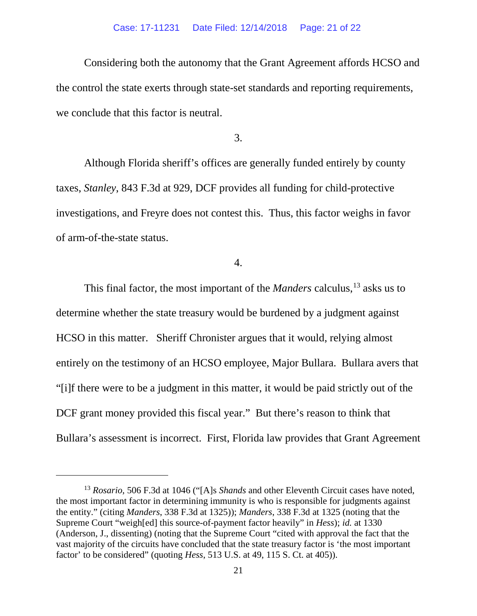#### Case: 17-11231 Date Filed: 12/14/2018 Page: 21 of 22

Considering both the autonomy that the Grant Agreement affords HCSO and the control the state exerts through state-set standards and reporting requirements, we conclude that this factor is neutral.

3.

Although Florida sheriff's offices are generally funded entirely by county taxes, *Stanley*, 843 F.3d at 929, DCF provides all funding for child-protective investigations, and Freyre does not contest this. Thus, this factor weighs in favor of arm-of-the-state status.

4.

This final factor, the most important of the *Manders* calculus,<sup>13</sup> asks us to determine whether the state treasury would be burdened by a judgment against HCSO in this matter. Sheriff Chronister argues that it would, relying almost entirely on the testimony of an HCSO employee, Major Bullara. Bullara avers that "[i]f there were to be a judgment in this matter, it would be paid strictly out of the DCF grant money provided this fiscal year." But there's reason to think that Bullara's assessment is incorrect. First, Florida law provides that Grant Agreement

<span id="page-20-0"></span><sup>13</sup> *Rosario*, 506 F.3d at 1046 ("[A]s *Shands* and other Eleventh Circuit cases have noted, the most important factor in determining immunity is who is responsible for judgments against the entity." (citing *Manders*, 338 F.3d at 1325)); *Manders*, 338 F.3d at 1325 (noting that the Supreme Court "weigh[ed] this source-of-payment factor heavily" in *Hess*); *id.* at 1330 (Anderson, J., dissenting) (noting that the Supreme Court "cited with approval the fact that the vast majority of the circuits have concluded that the state treasury factor is 'the most important factor' to be considered" (quoting *Hess*, 513 U.S. at 49, 115 S. Ct. at 405)).